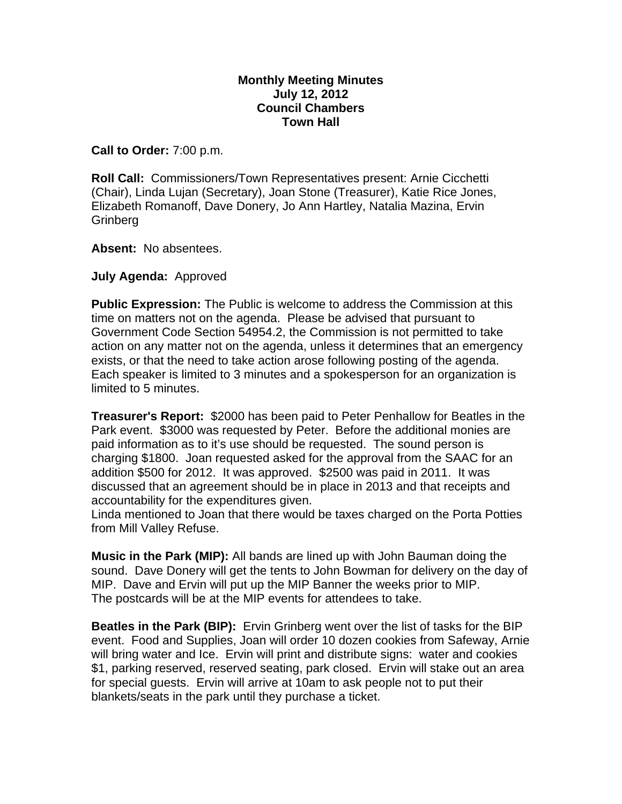## **Monthly Meeting Minutes July 12, 2012 Council Chambers Town Hall**

**Call to Order:** 7:00 p.m.

**Roll Call:** Commissioners/Town Representatives present: Arnie Cicchetti (Chair), Linda Lujan (Secretary), Joan Stone (Treasurer), Katie Rice Jones, Elizabeth Romanoff, Dave Donery, Jo Ann Hartley, Natalia Mazina, Ervin **Grinberg** 

**Absent:** No absentees.

**July Agenda:** Approved

**Public Expression:** The Public is welcome to address the Commission at this time on matters not on the agenda. Please be advised that pursuant to Government Code Section 54954.2, the Commission is not permitted to take action on any matter not on the agenda, unless it determines that an emergency exists, or that the need to take action arose following posting of the agenda. Each speaker is limited to 3 minutes and a spokesperson for an organization is limited to 5 minutes.

**Treasurer's Report:** \$2000 has been paid to Peter Penhallow for Beatles in the Park event. \$3000 was requested by Peter. Before the additional monies are paid information as to it's use should be requested. The sound person is charging \$1800. Joan requested asked for the approval from the SAAC for an addition \$500 for 2012. It was approved. \$2500 was paid in 2011. It was discussed that an agreement should be in place in 2013 and that receipts and accountability for the expenditures given.

Linda mentioned to Joan that there would be taxes charged on the Porta Potties from Mill Valley Refuse.

**Music in the Park (MIP):** All bands are lined up with John Bauman doing the sound. Dave Donery will get the tents to John Bowman for delivery on the day of MIP. Dave and Ervin will put up the MIP Banner the weeks prior to MIP. The postcards will be at the MIP events for attendees to take.

**Beatles in the Park (BIP):** Ervin Grinberg went over the list of tasks for the BIP event. Food and Supplies, Joan will order 10 dozen cookies from Safeway, Arnie will bring water and Ice. Ervin will print and distribute signs: water and cookies \$1, parking reserved, reserved seating, park closed. Ervin will stake out an area for special guests. Ervin will arrive at 10am to ask people not to put their blankets/seats in the park until they purchase a ticket.